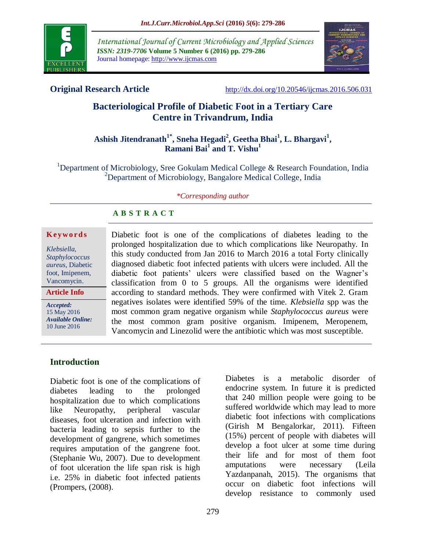

*International Journal of Current Microbiology and Applied Sciences ISSN: 2319-7706* **Volume 5 Number 6 (2016) pp. 279-286** Journal homepage: http://www.ijcmas.com



**Original Research Article** <http://dx.doi.org/10.20546/ijcmas.2016.506.031>

# **Bacteriological Profile of Diabetic Foot in a Tertiary Care Centre in Trivandrum, India**

## **Ashish Jitendranath 1\* , Sneha Hegadi<sup>2</sup> , Geetha Bhai<sup>1</sup> , L. Bhargavi<sup>1</sup> , Ramani Bai<sup>1</sup> and T. Vishu<sup>1</sup>**

<sup>1</sup>Department of Microbiology, Sree Gokulam Medical College & Research Foundation, India <sup>2</sup>Department of Microbiology, Bangalore Medical College, India

#### *\*Corresponding author*

## **A B S T R A C T**

#### **K ey w o rd s**

*Klebsiella, Staphylococcus aureus*, Diabetic foot, Imipenem, Vancomycin.

**Article Info**

*Accepted:*  15 May 2016 *Available Online:* 10 June 2016

Diabetic foot is one of the complications of diabetes leading to the prolonged hospitalization due to which complications like Neuropathy. In this study conducted from Jan 2016 to March 2016 a total Forty clinically diagnosed diabetic foot infected patients with ulcers were included. All the diabetic foot patients' ulcers were classified based on the Wagner's classification from 0 to 5 groups. All the organisms were identified according to standard methods. They were confirmed with Vitek 2. Gram negatives isolates were identified 59% of the time. *Klebsiella* spp was the most common gram negative organism while *Staphylococcus aureus* were the most common gram positive organism. Imipenem, Meropenem, Vancomycin and Linezolid were the antibiotic which was most susceptible.

## **Introduction**

Diabetic foot is one of the complications of diabetes leading to the prolonged hospitalization due to which complications like Neuropathy, peripheral vascular diseases, foot ulceration and infection with bacteria leading to sepsis further to the development of gangrene, which sometimes requires amputation of the gangrene foot. (Stephanie Wu, 2007). Due to development of foot ulceration the life span risk is high i.e. 25% in diabetic foot infected patients (Prompers, (2008).

Diabetes is a metabolic disorder of endocrine system. In future it is predicted that 240 million people were going to be suffered worldwide which may lead to more diabetic foot infections with complications (Girish M Bengalorkar, 2011). Fifteen (15%) percent of people with diabetes will develop a foot ulcer at some time during their life and for most of them foot amputations were necessary (Leila Yazdanpanah, 2015). The organisms that occur on diabetic foot infections will develop resistance to commonly used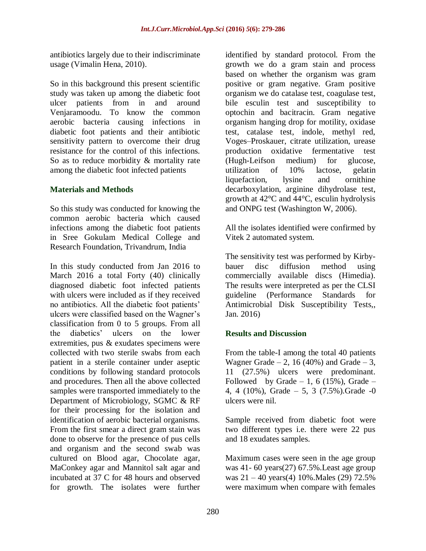antibiotics largely due to their indiscriminate usage (Vimalin Hena, 2010).

So in this background this present scientific study was taken up among the diabetic foot ulcer patients from in and around Venjaramoodu. To know the common aerobic bacteria causing infections in diabetic foot patients and their antibiotic sensitivity pattern to overcome their drug resistance for the control of this infections. So as to reduce morbidity & mortality rate among the diabetic foot infected patients

## **Materials and Methods**

So this study was conducted for knowing the common aerobic bacteria which caused infections among the diabetic foot patients in Sree Gokulam Medical College and Research Foundation, Trivandrum, India

In this study conducted from Jan 2016 to March 2016 a total Forty (40) clinically diagnosed diabetic foot infected patients with ulcers were included as if they received no antibiotics. All the diabetic foot patients' ulcers were classified based on the Wagner's classification from 0 to 5 groups. From all the diabetics' ulcers on the lower extremities, pus & exudates specimens were collected with two sterile swabs from each patient in a sterile container under aseptic conditions by following standard protocols and procedures. Then all the above collected samples were transported immediately to the Department of Microbiology, SGMC & RF for their processing for the isolation and identification of aerobic bacterial organisms. From the first smear a direct gram stain was done to observe for the presence of pus cells and organism and the second swab was cultured on Blood agar, Chocolate agar, MaConkey agar and Mannitol salt agar and incubated at 37 C for 48 hours and observed for growth. The isolates were further

identified by standard protocol. From the growth we do a gram stain and process based on whether the organism was gram positive or gram negative. Gram positive organism we do catalase test, coagulase test, bile esculin test and susceptibility to optochin and bacitracin. Gram negative organism hanging drop for motility, oxidase test, catalase test, indole, methyl red, Voges–Proskauer, citrate utilization, urease production oxidative fermentative test (Hugh-Leifson medium) for glucose, utilization of 10% lactose, gelatin liquefaction, lysine and ornithine decarboxylation, arginine dihydrolase test, growth at 42°C and 44°C, esculin hydrolysis and ONPG test (Washington W, 2006).

All the isolates identified were confirmed by Vitek 2 automated system.

The sensitivity test was performed by Kirbybauer disc diffusion method using commercially available discs (Himedia). The results were interpreted as per the CLSI guideline (Performance Standards for Antimicrobial Disk Susceptibility Tests,, Jan. 2016)

## **Results and Discussion**

From the table-I among the total 40 patients Wagner Grade  $-2$ , 16 (40%) and Grade  $-3$ , 11 (27.5%) ulcers were predominant. Followed by Grade  $-1$ , 6 (15%), Grade  $-$ 4, 4 (10%), Grade – 5, 3 (7.5%). Grade -0 ulcers were nil.

Sample received from diabetic foot were two different types i.e. there were 22 pus and 18 exudates samples.

Maximum cases were seen in the age group was 41- 60 years(27) 67.5%.Least age group was 21 – 40 years(4) 10%.Males (29) 72.5% were maximum when compare with females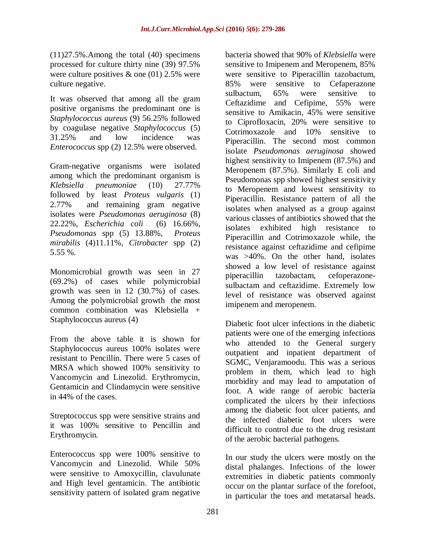(11)27.5%.Among the total (40) specimens processed for culture thirty nine (39) 97.5% were culture positives & one (01) 2.5% were culture negative.

It was observed that among all the gram positive organisms the predominant one is *Staphylococcus aureus* (9) 56.25% followed by coagulase negative *Staphylococcus* (5) 31.25% and low incidence was *Enterococcus* spp (2) 12.5% were observed.

Gram-negative organisms were isolated among which the predominant organism is *Klebsiella pneumoniae* (10) 27.77% followed by least *Proteus vulgaris* (1) 2.77% and remaining gram negative isolates were *Pseudomonas aeruginosa* (8) 22.22%, *Escherichia coli* (6) 16.66%, *Pseudomonas* spp (5) 13.88%, *Proteus mirabilis* (4)11.11%, *Citrobacter* spp (2) 5.55 %.

Monomicrobial growth was seen in 27 (69.2%) of cases while polymicrobial growth was seen in 12 (30.7%) of cases. Among the polymicrobial growth the most common combination was Klebsiella + Staphylococcus aureus (4)

From the above table it is shown for Staphylococcus aureus 100% isolates were resistant to Pencillin. There were 5 cases of MRSA which showed 100% sensitivity to Vancomycin and Linezolid. Erythromycin, Gentamicin and Clindamycin were sensitive in 44% of the cases.

Streptococcus spp were sensitive strains and it was 100% sensitive to Pencillin and Erythromycin.

Enterococcus spp were 100% sensitive to Vancomycin and Linezolid. While 50% were sensitive to Amoxycillin, clavulunate and High level gentamicin. The antibiotic sensitivity pattern of isolated gram negative

bacteria showed that 90% of *Klebsiella* were sensitive to Imipenem and Meropenem, 85% were sensitive to Piperacillin tazobactum, 85% were sensitive to Cefaperazone sulbactum, 65% were sensitive to Ceftazidime and Cefipime, 55% were sensitive to Amikacin, 45% were sensitive to Ciprofloxacin, 20% were sensitive to Cotrimoxazole and 10% sensitive to Piperacillin. The second most common isolate *Pseudomonas aeruginosa* showed highest sensitivity to Imipenem (87.5%) and Meropenem (87.5%). Similarly E coli and Pseudomonas spp showed highest sensitivity to Meropenem and lowest sensitivity to Piperacillin. Resistance pattern of all the isolates when analysed as a group against various classes of antibiotics showed that the isolates exhibited high resistance to Piperacillin and Cotrimoxazole while, the resistance against ceftazidime and cefipime was >40%. On the other hand, isolates showed a low level of resistance against piperacillin tazobactam, cefoperazonesulbactam and ceftazidime. Extremely low level of resistance was observed against imipenem and meropenem.

Diabetic foot ulcer infections in the diabetic patients were one of the emerging infections who attended to the General surgery outpatient and inpatient department of SGMC, Venjaramoodu. This was a serious problem in them, which lead to high morbidity and may lead to amputation of foot. A wide range of aerobic bacteria complicated the ulcers by their infections among the diabetic foot ulcer patients, and the infected diabetic foot ulcers were difficult to control due to the drug resistant of the aerobic bacterial pathogens.

In our study the ulcers were mostly on the distal phalanges. Infections of the lower extremities in diabetic patients commonly occur on the plantar surface of the forefoot, in particular the toes and metatarsal heads.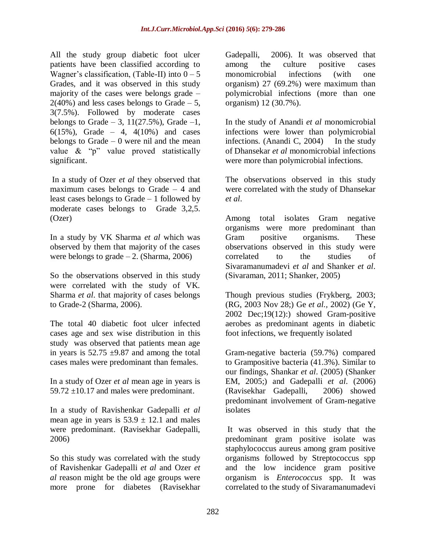All the study group diabetic foot ulcer patients have been classified according to Wagner's classification, (Table-II) into  $0 - 5$ Grades, and it was observed in this study majority of the cases were belongs grade –  $2(40\%)$  and less cases belongs to Grade – 5, 3(7.5%). Followed by moderate cases belongs to Grade  $-3$ , 11(27.5%), Grade  $-1$ , 6(15%), Grade – 4, 4(10%) and cases belongs to Grade  $-0$  were nil and the mean value & "p" value proved statistically significant.

In a study of Ozer *et al* they observed that maximum cases belongs to Grade  $-4$  and least cases belongs to Grade – 1 followed by moderate cases belongs to Grade 3,2,5. (Ozer)

In a study by VK Sharma *et al* which was observed by them that majority of the cases were belongs to grade  $-2$ . (Sharma, 2006)

So the observations observed in this study were correlated with the study of VK. Sharma *et al*. that majority of cases belongs to Grade-2 (Sharma, 2006).

The total 40 diabetic foot ulcer infected cases age and sex wise distribution in this study was observed that patients mean age in years is  $52.75 \pm 9.87$  and among the total cases males were predominant than females.

In a study of Ozer *et al* mean age in years is 59.72  $\pm$ 10.17 and males were predominant.

In a study of Ravishenkar Gadepalli *et al* mean age in years is  $53.9 \pm 12.1$  and males were predominant. (Ravisekhar Gadepalli, 2006)

So this study was correlated with the study of Ravishenkar Gadepalli *et al* and Ozer *et al* reason might be the old age groups were more prone for diabetes (Ravisekhar

Gadepalli, 2006). It was observed that among the culture positive cases monomicrobial infections (with one organism) 27 (69.2%) were maximum than polymicrobial infections (more than one organism) 12 (30.7%).

In the study of Anandi *et al* monomicrobial infections were lower than polymicrobial infections. (Anandi C, 2004) In the study of Dhansekar *et al* monomicrobial infections were more than polymicrobial infections.

The observations observed in this study were correlated with the study of Dhansekar *et al*.

Among total isolates Gram negative organisms were more predominant than Gram positive organisms. These observations observed in this study were correlated to the studies of Sivaramanumadevi *et al* and Shanker *et al*. (Sivaraman, 2011; Shanker, 2005)

Though previous studies (Frykberg, 2003; (RG, 2003 Nov 28;) Ge *et al.,* 2002) (Ge Y, 2002 Dec;19(12):) showed Gram-positive aerobes as predominant agents in diabetic foot infections, we frequently isolated

Gram-negative bacteria (59.7%) compared to Grampositive bacteria (41.3%). Similar to our findings, Shankar *et al*. (2005) (Shanker EM, 2005;) and Gadepalli *et al*. (2006) (Ravisekhar Gadepalli, 2006) showed predominant involvement of Gram-negative isolates

It was observed in this study that the predominant gram positive isolate was staphylococcus aureus among gram positive organisms followed by Streptococcus spp and the low incidence gram positive organism is *Enterococcus* spp. It was correlated to the study of Sivaramanumadevi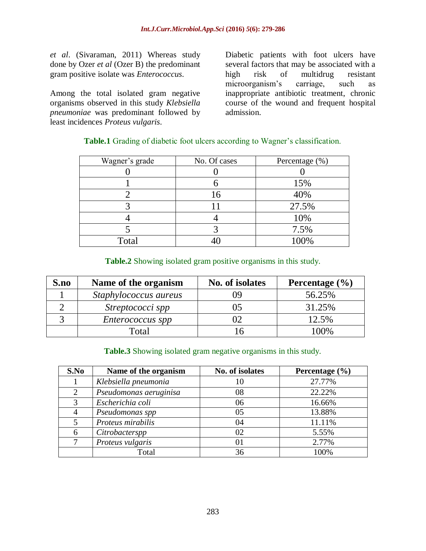*et al*. (Sivaraman, 2011) Whereas study done by Ozer *et al* (Ozer B) the predominant gram positive isolate was *Enterococcus*.

Among the total isolated gram negative organisms observed in this study *Klebsiella pneumoniae* was predominant followed by least incidences *Proteus vulgaris*.

Diabetic patients with foot ulcers have several factors that may be associated with a high risk of multidrug resistant microorganism's carriage, such as inappropriate antibiotic treatment, chronic course of the wound and frequent hospital admission.

| Wagner's grade | No. Of cases | Percentage (%) |
|----------------|--------------|----------------|
|                |              |                |
|                |              | 15%            |
|                | 16           | 40%            |
|                |              | 27.5%          |
|                |              | 10%            |
|                |              | 7.5%           |
| Total          |              | 100%           |

## **Table.1** Grading of diabetic foot ulcers according to Wagner's classification.

## **Table.2** Showing isolated gram positive organisms in this study.

| S.no | Name of the organism    | No. of isolates | Percentage $(\frac{6}{6})$ |
|------|-------------------------|-----------------|----------------------------|
|      | Staphylococcus aureus   |                 | 56.25%                     |
|      | Streptococci spp        |                 | 31.25%                     |
|      | <i>Enterococcus spp</i> |                 | 12.5%                      |
|      | Total                   |                 | $00\%$                     |

## **Table.3** Showing isolated gram negative organisms in this study.

| S.No | Name of the organism   | No. of isolates | Percentage $(\% )$ |
|------|------------------------|-----------------|--------------------|
|      | Klebsiella pneumonia   | 10              | 27.77%             |
| 2    | Pseudomonas aeruginisa | 08              | 22.22%             |
|      | Escherichia coli       | 06              | 16.66%             |
|      | Pseudomonas spp        | 05              | 13.88%             |
|      | Proteus mirabilis      | 04              | 11.11%             |
| 6    | Citrobacterspp         | 02              | 5.55%              |
|      | Proteus vulgaris       | 01              | 2.77%              |
|      | Total                  | 36              | 100%               |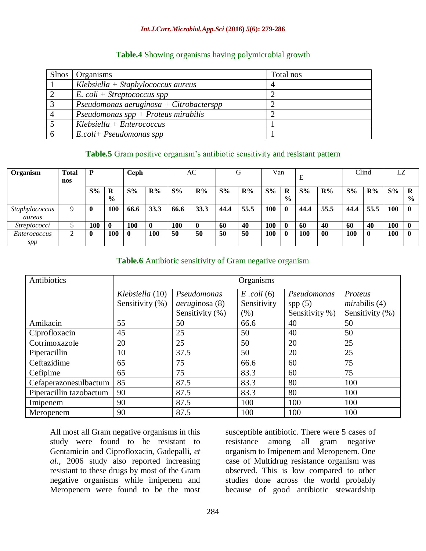#### *Int.J.Curr.Microbiol.App.Sci* **(2016)** *5***(6): 279-286**

| Table.4 Showing organisms having polymicrobial growth |  |  |
|-------------------------------------------------------|--|--|
|                                                       |  |  |

| Slnos   Organisms                       | Total nos |
|-----------------------------------------|-----------|
| $Klebsiella + Staphylococcus aureus$    |           |
| $E.$ coli + Streptococcus spp           |           |
| Pseudomonas aeruginosa + Citrobacterspp |           |
| Pseudomonas $spp +$ Proteus mirabilis   |           |
| $Klebsiella + Enterococcus$             |           |
| $E.$ coli+ Pseudomonas spp              |           |

#### **Table.5** Gram positive organism's antibiotic sensitivity and resistant pattern

| Organism            | <b>Total</b> | D     |               | Ceph        |          |            | AC    |       | G     | Van        |               | Е     |                | Clind      |       | LZ    |               |
|---------------------|--------------|-------|---------------|-------------|----------|------------|-------|-------|-------|------------|---------------|-------|----------------|------------|-------|-------|---------------|
|                     | nos          |       |               |             |          |            |       |       |       |            |               |       |                |            |       |       |               |
|                     |              | $S\%$ | R             | $S\%$       | $R\%$    | $S\%$      | $R\%$ | $S\%$ | $R\%$ | $S\%$      | R             | $S\%$ | $\mathbf{R}\%$ | $S\%$      | $R\%$ | $S\%$ | R             |
|                     |              |       | $\frac{0}{0}$ |             |          |            |       |       |       |            | $\frac{0}{0}$ |       |                |            |       |       | $\frac{6}{9}$ |
| Staphylococcus      | 9            | 0     | 100           | 66.6        | 33.3     | 66.6       | 33.3  | 44.4  | 55.5  | <b>100</b> | $\mathbf 0$   | 44.4  | 55.5           | 44.4       | 55.5  | 100   |               |
| aureus              |              |       |               |             |          |            |       |       |       |            |               |       |                |            |       |       |               |
| <i>Streptococci</i> |              | 100   | $\mathbf 0$   | <b>100</b>  | $\bf{0}$ | <b>100</b> | 0     | 60    | 40    | <b>100</b> | $\bf{0}$      | 60    | 40             | 60         | 40    | 100   |               |
| <i>Enterococcus</i> | ◠            | O     | 100           | $\mathbf 0$ | 100      | 50         | 50    | 50    | 50    | 100        | 0             | 100   | 00             | <b>100</b> | 0     | 100   |               |
| spp                 |              |       |               |             |          |            |       |       |       |            |               |       |                |            |       |       |               |

#### **Table.6** Antibiotic sensitivity of Gram negative organism

| Antibiotics             | Organisms           |                       |             |                |                 |  |  |  |
|-------------------------|---------------------|-----------------------|-------------|----------------|-----------------|--|--|--|
|                         | Klebsiella (10)     | Pseudomonas           | Proteus     |                |                 |  |  |  |
|                         | Sensitivity $(\% )$ | <i>aeruginosa</i> (8) | Sensitivity | spp(5)         | mirabilis(4)    |  |  |  |
|                         |                     | Sensitivity $(\% )$   | (% )        | Sensitivity %) | Sensitivity (%) |  |  |  |
| Amikacin                | 55                  | 50                    | 66.6        | 40             | 50              |  |  |  |
| Ciprofloxacin           | 45                  | 25                    | 50          | 40             | 50              |  |  |  |
| Cotrimoxazole           | 20                  | 25                    | 50          | 20             | 25              |  |  |  |
| Piperacillin            | 10                  | 37.5                  | 50          | 20             | 25              |  |  |  |
| Ceftazidime             | 65                  | 75                    | 66.6        | 60             | 75              |  |  |  |
| Cefipime                | 65                  | 75                    | 83.3        | 60             | 75              |  |  |  |
| Cefaperazonesulbactum   | 85                  | 87.5                  | 83.3        | 80             | 100             |  |  |  |
| Piperacillin tazobactum | 90                  | 87.5                  | 83.3        | 80             | 100             |  |  |  |
| Imipenem                | 90                  | 87.5                  | 100         | 100            | 100             |  |  |  |
| Meropenem               | 90                  | 87.5                  | 100         | 100            | 100             |  |  |  |

All most all Gram negative organisms in this study were found to be resistant to Gentamicin and Ciprofloxacin, Gadepalli, *et al.,* 2006 study also reported increasing resistant to these drugs by most of the Gram negative organisms while imipenem and Meropenem were found to be the most

susceptible antibiotic. There were 5 cases of resistance among all gram negative organism to Imipenem and Meropenem. One case of Multidrug resistance organism was observed. This is low compared to other studies done across the world probably because of good antibiotic stewardship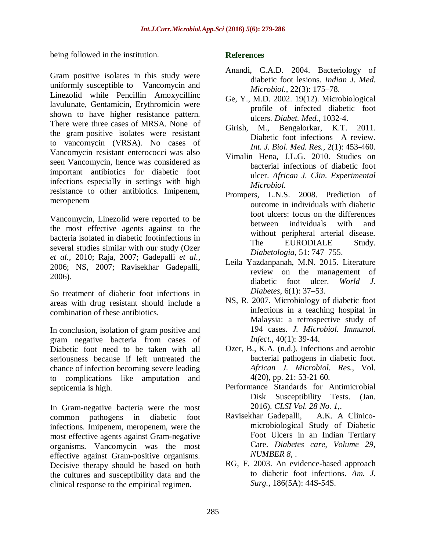being followed in the institution.

Gram positive isolates in this study were uniformly susceptible to Vancomycin and Linezolid while Pencillin Amoxycillinc lavulunate, Gentamicin, Erythromicin were shown to have higher resistance pattern. There were three cases of MRSA. None of the gram positive isolates were resistant to vancomycin (VRSA). No cases of Vancomycin resistant enterococci was also seen Vancomycin, hence was considered as important antibiotics for diabetic foot infections especially in settings with high resistance to other antibiotics. Imipenem, meropenem

Vancomycin, Linezolid were reported to be the most effective agents against to the bacteria isolated in diabetic footinfections in several studies similar with our study (Ozer *et al.,* 2010; Raja, 2007; Gadepalli *et al.,* 2006; NS, 2007; Ravisekhar Gadepalli, 2006).

So treatment of diabetic foot infections in areas with drug resistant should include a combination of these antibiotics.

In conclusion, isolation of gram positive and gram negative bacteria from cases of Diabetic foot need to be taken with all seriousness because if left untreated the chance of infection becoming severe leading to complications like amputation and septicemia is high.

In Gram-negative bacteria were the most common pathogens in diabetic foot infections. Imipenem, meropenem, were the most effective agents against Gram-negative organisms. Vancomycin was the most effective against Gram-positive organisms. Decisive therapy should be based on both the cultures and susceptibility data and the clinical response to the empirical regimen.

## **References**

- Anandi, C.A.D. 2004. Bacteriology of diabetic foot lesions. *Indian J. Med. Microbiol.,* 22(3): 175–78.
- Ge, Y., M.D. 2002. 19(12). Microbiological profile of infected diabetic foot ulcers. *Diabet. Med.*, 1032-4.
- Girish, M., Bengalorkar, K.T. 2011. Diabetic foot infections –A review. *Int. J. Biol. Med. Res.,* 2(1): 453-460.
- Vimalin Hena, J.L.G. 2010. Studies on bacterial infections of diabetic foot ulcer. *African J. Clin. Experimental Microbiol.*
- Prompers, L.N.S. 2008. Prediction of outcome in individuals with diabetic foot ulcers: focus on the differences between individuals with and without peripheral arterial disease. The EURODIALE Study. *Diabetologia*, 51: 747–755.
- Leila Yazdanpanah, M.N. 2015. Literature review on the management of diabetic foot ulcer. *World J. Diabetes*, 6(1): 37–53.
- NS, R. 2007. Microbiology of diabetic foot infections in a teaching hospital in Malaysia: a retrospective study of 194 cases. *J. Microbiol. Immunol. Infect.*, 40(1): 39-44.
- Ozer, B., K.A. (n.d.). Infections and aerobic bacterial pathogens in diabetic foot. *African J. Microbiol. Res.*, Vol. 4(20), pp. 21: 53-21 60.
- Performance Standards for Antimicrobial Disk Susceptibility Tests. (Jan. 2016). *CLSI Vol. 28 No. 1,*.
- Ravisekhar Gadepalli, A.K. A Clinicomicrobiological Study of Diabetic Foot Ulcers in an Indian Tertiary Care. *Diabetes care, Volume 29, NUMBER 8,* .
- RG, F. 2003. An evidence-based approach to diabetic foot infections. *Am. J. Surg.*, 186(5A): 44S-54S.